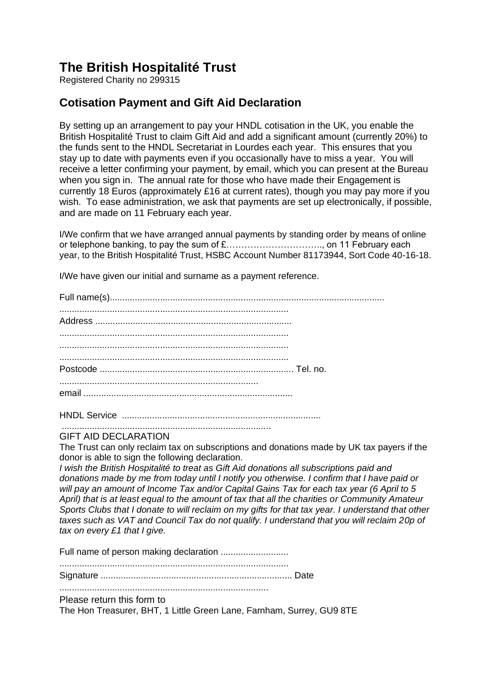## **The British Hospitalité Trust**

Registered Charity no 299315

## **Cotisation Payment and Gift Aid Declaration**

By setting up an arrangement to pay your HNDL cotisation in the UK, you enable the British Hospitalité Trust to claim Gift Aid and add a significant amount (currently 20%) to the funds sent to the HNDL Secretariat in Lourdes each year. This ensures that you stay up to date with payments even if you occasionally have to miss a year. You will receive a letter confirming your payment, by email, which you can present at the Bureau when you sign in. The annual rate for those who have made their Engagement is currently 18 Euros (approximately £16 at current rates), though you may pay more if you wish. To ease administration, we ask that payments are set up electronically, if possible, and are made on 11 February each year.

I/We confirm that we have arranged annual payments by standing order by means of online or telephone banking, to pay the sum of £………………………….., on 11 February each year, to the British Hospitalité Trust, HSBC Account Number 81173944, Sort Code 40-16-18.

I/We have given our initial and surname as a payment reference.

HNDL Service ............................................................................... ...................................................................................

## GIFT AID DECLARATION

The Trust can only reclaim tax on subscriptions and donations made by UK tax payers if the donor is able to sign the following declaration.

*I wish the British Hospitalité to treat as Gift Aid donations all subscriptions paid and donations made by me from today until I notify you otherwise. I confirm that I have paid or will pay an amount of Income Tax and/or Capital Gains Tax for each tax year (6 April to 5 April) that is at least equal to the amount of tax that all the charities or Community Amateur Sports Clubs that I donate to will reclaim on my gifts for that tax year. I understand that other taxes such as VAT and Council Tax do not qualify. I understand that you will reclaim 20p of tax on every £1 that I give.* 

Full name of person making declaration ...........................

........................................................................................... Signature ............................................................................ Date

...................................................................................

Please return this form to

The Hon Treasurer, BHT, 1 Little Green Lane, Farnham, Surrey, GU9 8TE